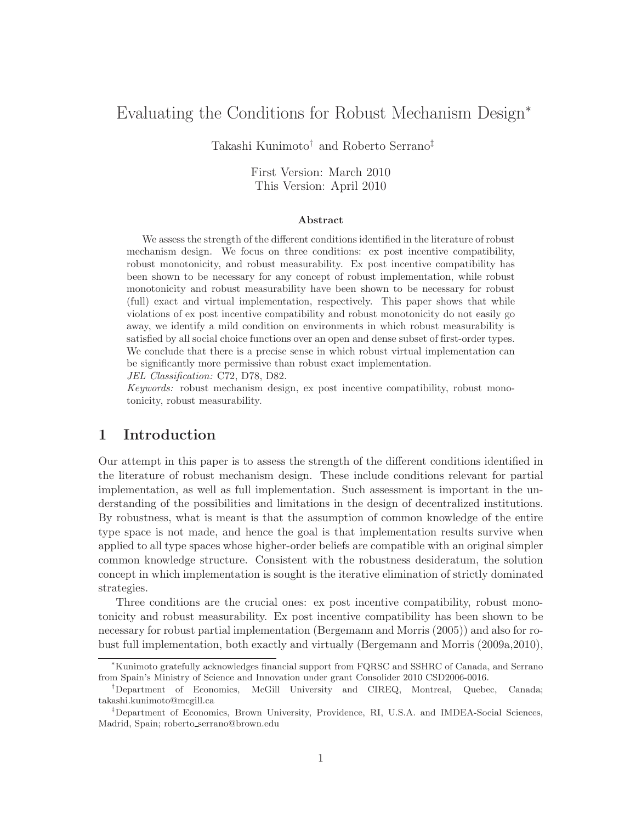# Evaluating the Conditions for Robust Mechanism Design<sup>∗</sup>

Takashi Kunimoto† and Roberto Serrano‡

First Version: March 2010 This Version: April 2010

#### **Abstract**

We assess the strength of the different conditions identified in the literature of robust mechanism design. We focus on three conditions: ex post incentive compatibility, robust monotonicity, and robust measurability. Ex post incentive compatibility has been shown to be necessary for any concept of robust implementation, while robust monotonicity and robust measurability have been shown to be necessary for robust (full) exact and virtual implementation, respectively. This paper shows that while violations of ex post incentive compatibility and robust monotonicity do not easily go away, we identify a mild condition on environments in which robust measurability is satisfied by all social choice functions over an open and dense subset of first-order types. We conclude that there is a precise sense in which robust virtual implementation can be significantly more permissive than robust exact implementation.

*JEL Classification:* C72, D78, D82.

*Keywords:* robust mechanism design, ex post incentive compatibility, robust monotonicity, robust measurability.

# **1 Introduction**

Our attempt in this paper is to assess the strength of the different conditions identified in the literature of robust mechanism design. These include conditions relevant for partial implementation, as well as full implementation. Such assessment is important in the understanding of the possibilities and limitations in the design of decentralized institutions. By robustness, what is meant is that the assumption of common knowledge of the entire type space is not made, and hence the goal is that implementation results survive when applied to all type spaces whose higher-order beliefs are compatible with an original simpler common knowledge structure. Consistent with the robustness desideratum, the solution concept in which implementation is sought is the iterative elimination of strictly dominated strategies.

Three conditions are the crucial ones: ex post incentive compatibility, robust monotonicity and robust measurability. Ex post incentive compatibility has been shown to be necessary for robust partial implementation (Bergemann and Morris (2005)) and also for robust full implementation, both exactly and virtually (Bergemann and Morris (2009a,2010),

<sup>∗</sup>Kunimoto gratefully acknowledges financial support from FQRSC and SSHRC of Canada, and Serrano from Spain's Ministry of Science and Innovation under grant Consolider 2010 CSD2006-0016.

<sup>†</sup>Department of Economics, McGill University and CIREQ, Montreal, Quebec, Canada; takashi.kunimoto@mcgill.ca

<sup>‡</sup>Department of Economics, Brown University, Providence, RI, U.S.A. and IMDEA-Social Sciences, Madrid, Spain; roberto serrano@brown.edu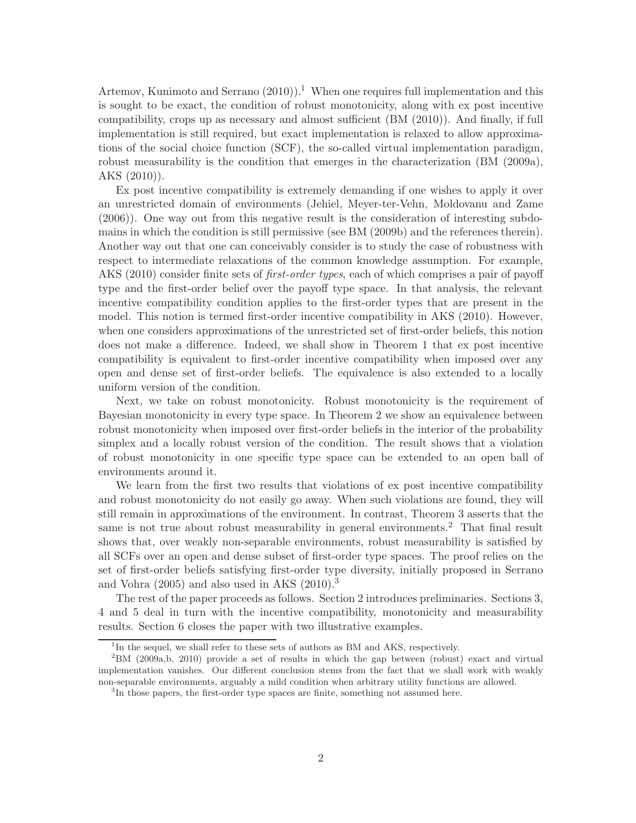Artemov, Kunimoto and Serrano  $(2010)$ .<sup>1</sup> When one requires full implementation and this is sought to be exact, the condition of robust monotonicity, along with ex post incentive compatibility, crops up as necessary and almost sufficient (BM (2010)). And finally, if full implementation is still required, but exact implementation is relaxed to allow approximations of the social choice function (SCF), the so-called virtual implementation paradigm, robust measurability is the condition that emerges in the characterization (BM (2009a), AKS (2010)).

Ex post incentive compatibility is extremely demanding if one wishes to apply it over an unrestricted domain of environments (Jehiel, Meyer-ter-Vehn, Moldovanu and Zame (2006)). One way out from this negative result is the consideration of interesting subdomains in which the condition is still permissive (see BM (2009b) and the references therein). Another way out that one can conceivably consider is to study the case of robustness with respect to intermediate relaxations of the common knowledge assumption. For example, AKS (2010) consider finite sets of *first-order types*, each of which comprises a pair of payoff type and the first-order belief over the payoff type space. In that analysis, the relevant incentive compatibility condition applies to the first-order types that are present in the model. This notion is termed first-order incentive compatibility in AKS (2010). However, when one considers approximations of the unrestricted set of first-order beliefs, this notion does not make a difference. Indeed, we shall show in Theorem 1 that ex post incentive compatibility is equivalent to first-order incentive compatibility when imposed over any open and dense set of first-order beliefs. The equivalence is also extended to a locally uniform version of the condition.

Next, we take on robust monotonicity. Robust monotonicity is the requirement of Bayesian monotonicity in every type space. In Theorem 2 we show an equivalence between robust monotonicity when imposed over first-order beliefs in the interior of the probability simplex and a locally robust version of the condition. The result shows that a violation of robust monotonicity in one specific type space can be extended to an open ball of environments around it.

We learn from the first two results that violations of ex post incentive compatibility and robust monotonicity do not easily go away. When such violations are found, they will still remain in approximations of the environment. In contrast, Theorem 3 asserts that the same is not true about robust measurability in general environments.<sup>2</sup> That final result shows that, over weakly non-separable environments, robust measurability is satisfied by all SCFs over an open and dense subset of first-order type spaces. The proof relies on the set of first-order beliefs satisfying first-order type diversity, initially proposed in Serrano and Vohra  $(2005)$  and also used in AKS  $(2010).<sup>3</sup>$ 

The rest of the paper proceeds as follows. Section 2 introduces preliminaries. Sections 3, 4 and 5 deal in turn with the incentive compatibility, monotonicity and measurability results. Section 6 closes the paper with two illustrative examples.

 $1$ In the sequel, we shall refer to these sets of authors as BM and AKS, respectively.

<sup>2</sup>BM (2009a,b, 2010) provide a set of results in which the gap between (robust) exact and virtual implementation vanishes. Our different conclusion stems from the fact that we shall work with weakly non-separable environments, arguably a mild condition when arbitrary utility functions are allowed.

<sup>&</sup>lt;sup>3</sup>In those papers, the first-order type spaces are finite, something not assumed here.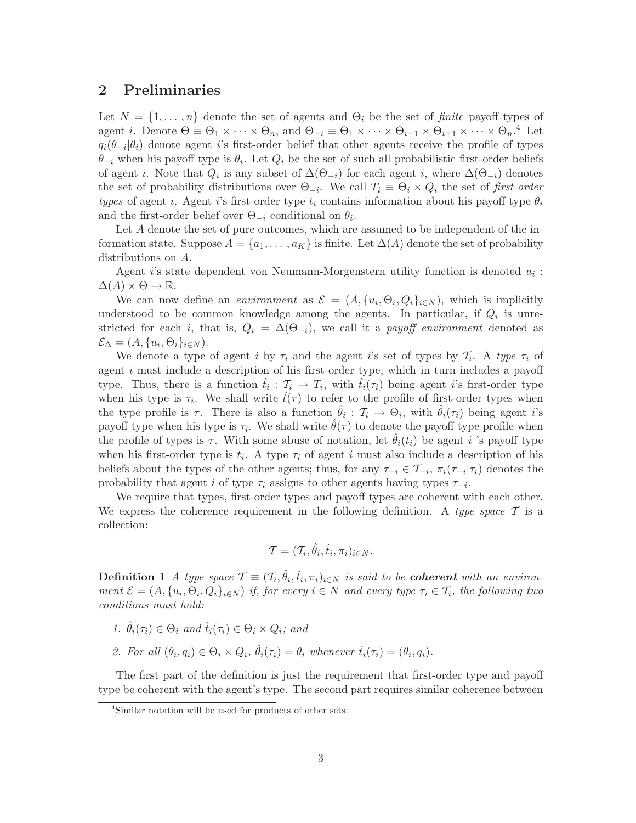# **2 Preliminaries**

Let  $N = \{1, \ldots, n\}$  denote the set of agents and  $\Theta_i$  be the set of *finite* payoff types of agent *i*. Denote  $\Theta \equiv \Theta_1 \times \cdots \times \Theta_n$ , and  $\Theta_{-i} \equiv \Theta_1 \times \cdots \times \Theta_{i-1} \times \Theta_{i+1} \times \cdots \times \Theta_n$ .<sup>4</sup> Let  $q_i(\theta_{-i}|\theta_i)$  denote agent i's first-order belief that other agents receive the profile of types  $\theta_{-i}$  when his payoff type is  $\theta_i$ . Let  $Q_i$  be the set of such all probabilistic first-order beliefs of agent i. Note that  $Q_i$  is any subset of  $\Delta(\Theta_{-i})$  for each agent i, where  $\Delta(\Theta_{-i})$  denotes the set of probability distributions over  $\Theta_{-i}$ . We call  $T_i \equiv \Theta_i \times Q_i$  the set of *first-order types* of agent i. Agent i's first-order type  $t_i$  contains information about his payoff type  $\theta_i$ and the first-order belief over  $\Theta_{-i}$  conditional on  $\theta_i$ .

Let A denote the set of pure outcomes, which are assumed to be independent of the information state. Suppose  $A = \{a_1, \ldots, a_K\}$  is finite. Let  $\Delta(A)$  denote the set of probability distributions on A.

Agent i's state dependent von Neumann-Morgenstern utility function is denoted  $u_i$ :  $\Delta(A) \times \Theta \rightarrow \mathbb{R}$ .

We can now define an *environment* as  $\mathcal{E} = (A, \{u_i, \Theta_i, Q_i\}_{i \in \mathbb{N}})$ , which is implicitly understood to be common knowledge among the agents. In particular, if  $Q_i$  is unrestricted for each i, that is,  $Q_i = \Delta(\Theta_{-i})$ , we call it a *payoff environment* denoted as  $\mathcal{E}_{\Delta} = (A, \{u_i, \Theta_i\}_{i \in N}).$ 

We denote a type of agent i by  $\tau_i$  and the agent i's set of types by  $\mathcal{T}_i$ . A *type*  $\tau_i$  of agent *i* must include a description of his first-order type, which in turn includes a payoff type. Thus, there is a function  $\hat{t}_i : \mathcal{T}_i \to \mathcal{T}_i$ , with  $\hat{t}_i(\tau_i)$  being agent *i*'s first-order type when his type is  $\tau_i$ . We shall write  $\hat{t}(\tau)$  to refer to the profile of first-order types when the type profile is  $\tau$ . There is also a function  $\theta_i : \mathcal{T}_i \to \Theta_i$ , with  $\theta_i(\tau_i)$  being agent i's payoff type when his type is  $\tau_i$ . We shall write  $\theta(\tau)$  to denote the payoff type profile when the profile of types is  $\tau$ . With some abuse of notation, let  $\theta_i(t_i)$  be agent i 's payoff type when his first-order type is  $t_i$ . A type  $\tau_i$  of agent i must also include a description of his beliefs about the types of the other agents; thus, for any  $\tau_{-i} \in \mathcal{T}_{-i}$ ,  $\pi_i(\tau_{-i}|\tau_i)$  denotes the probability that agent i of type  $\tau_i$  assigns to other agents having types  $\tau_{-i}$ .

We require that types, first-order types and payoff types are coherent with each other. We express the coherence requirement in the following definition. A *type space* T is a collection:

$$
\mathcal{T} = (\mathcal{T}_i, \hat{\theta}_i, \hat{t}_i, \pi_i)_{i \in N}.
$$

**Definition 1** *A type space*  $\mathcal{T} \equiv (\mathcal{T}_i, \hat{\theta}_i, \hat{t}_i, \pi_i)_{i \in N}$  *is said to be coherent with an environment*  $\mathcal{E} = (A, \{u_i, \Theta_i, Q_i\}_{i \in N})$  *if, for every*  $i \in N$  *and every type*  $\tau_i \in \mathcal{T}_i$ *, the following two conditions must hold:*

- *1.*  $\hat{\theta}_i(\tau_i) \in \Theta_i$  and  $\hat{t}_i(\tau_i) \in \Theta_i \times Q_i$ ; and
- 2. For all  $(\theta_i, q_i) \in \Theta_i \times Q_i$ ,  $\hat{\theta}_i(\tau_i) = \theta_i$  whenever  $\hat{t}_i(\tau_i) = (\theta_i, q_i)$ .

The first part of the definition is just the requirement that first-order type and payoff type be coherent with the agent's type. The second part requires similar coherence between

<sup>&</sup>lt;sup>4</sup>Similar notation will be used for products of other sets.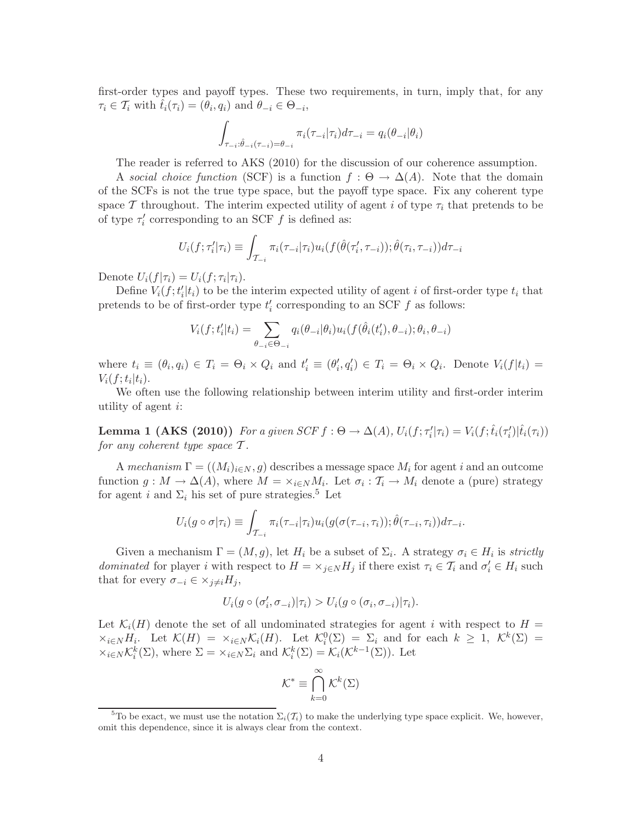first-order types and payoff types. These two requirements, in turn, imply that, for any  $\tau_i \in \mathcal{T}_i$  with  $\hat{t}_i(\tau_i) = (\theta_i, q_i)$  and  $\theta_{-i} \in \Theta_{-i}$ ,

$$
\int_{\tau_{-i}:\hat{\theta}_{-i}(\tau_{-i})=\theta_{-i}} \pi_i(\tau_{-i}|\tau_i)d\tau_{-i} = q_i(\theta_{-i}|\theta_i)
$$

The reader is referred to AKS (2010) for the discussion of our coherence assumption.

A *social choice function* (SCF) is a function  $f: \Theta \to \Delta(A)$ . Note that the domain of the SCFs is not the true type space, but the payoff type space. Fix any coherent type space T throughout. The interim expected utility of agent i of type  $\tau_i$  that pretends to be of type  $\tau'_i$  corresponding to an SCF f is defined as:

$$
U_i(f; \tau'_i | \tau_i) \equiv \int_{\mathcal{T}_{-i}} \pi_i(\tau_{-i} | \tau_i) u_i(f(\hat{\theta}(\tau'_i, \tau_{-i})); \hat{\theta}(\tau_i, \tau_{-i})) d\tau_{-i}
$$

Denote  $U_i(f|\tau_i) = U_i(f;\tau_i|\tau_i)$ .

Define  $V_i(f; t'_i|t_i)$  to be the interim expected utility of agent i of first-order type  $t_i$  that pretends to be of first-order type  $t'_{i}$  corresponding to an SCF  $f$  as follows:

$$
V_i(f; t'_i | t_i) = \sum_{\theta_{-i} \in \Theta_{-i}} q_i(\theta_{-i} | \theta_i) u_i(f(\hat{\theta}_i(t'_i), \theta_{-i}); \theta_i, \theta_{-i})
$$

where  $t_i \equiv (\theta_i, q_i) \in T_i = \Theta_i \times Q_i$  and  $t'_i \equiv (\theta'_i, q'_i) \in T_i = \Theta_i \times Q_i$ . Denote  $V_i(f|t_i) =$  $V_i(f; t_i|t_i)$ .

We often use the following relationship between interim utility and first-order interim utility of agent i:

**Lemma 1 (AKS (2010))** For a given  $SCF f : \Theta \to \Delta(A)$ ,  $U_i(f; \tau'_i | \tau_i) = V_i(f; \hat{t}_i(\tau'_i) | \hat{t}_i(\tau_i))$ *for any coherent type space* T *.*

A *mechanism*  $\Gamma = ((M_i)_{i \in N}, g)$  describes a message space  $M_i$  for agent i and an outcome function  $g: M \to \Delta(A)$ , where  $M = \times_{i \in N} M_i$ . Let  $\sigma_i: \mathcal{T}_i \to M_i$  denote a (pure) strategy for agent i and  $\Sigma_i$  his set of pure strategies.<sup>5</sup> Let

$$
U_i(g \circ \sigma | \tau_i) \equiv \int_{\mathcal{T}_{-i}} \pi_i(\tau_{-i} | \tau_i) u_i(g(\sigma(\tau_{-i}, \tau_i)); \hat{\theta}(\tau_{-i}, \tau_i)) d\tau_{-i}.
$$

Given a mechanism  $\Gamma = (M, g)$ , let  $H_i$  be a subset of  $\Sigma_i$ . A strategy  $\sigma_i \in H_i$  is *strictly dominated* for player *i* with respect to  $H = \times_{j \in N} H_j$  if there exist  $\tau_i \in \mathcal{T}_i$  and  $\sigma'_i \in H_i$  such that for every  $\sigma_{-i} \in \times_{j \neq i} H_j$ ,

$$
U_i(g \circ (\sigma'_i, \sigma_{-i})|\tau_i) > U_i(g \circ (\sigma_i, \sigma_{-i})|\tau_i).
$$

Let  $\mathcal{K}_i(H)$  denote the set of all undominated strategies for agent i with respect to H =  $\times_{i\in N} H_i$ . Let  $\mathcal{K}(H) = \times_{i\in N} \mathcal{K}_i(H)$ . Let  $\mathcal{K}_i^0(\Sigma) = \Sigma_i$  and for each  $k \geq 1$ ,  $\mathcal{K}^k(\Sigma) =$  $\times_{i\in N} \mathcal{K}_i^k(\Sigma)$ , where  $\Sigma = \times_{i\in N} \Sigma_i$  and  $\mathcal{K}_i^k(\Sigma) = \mathcal{K}_i(\mathcal{K}^{k-1}(\Sigma))$ . Let

$$
\mathcal{K}^* \equiv \bigcap_{k=0}^{\infty} \mathcal{K}^k(\Sigma)
$$

<sup>&</sup>lt;sup>5</sup>To be exact, we must use the notation  $\Sigma_i(\mathcal{T}_i)$  to make the underlying type space explicit. We, however, omit this dependence, since it is always clear from the context.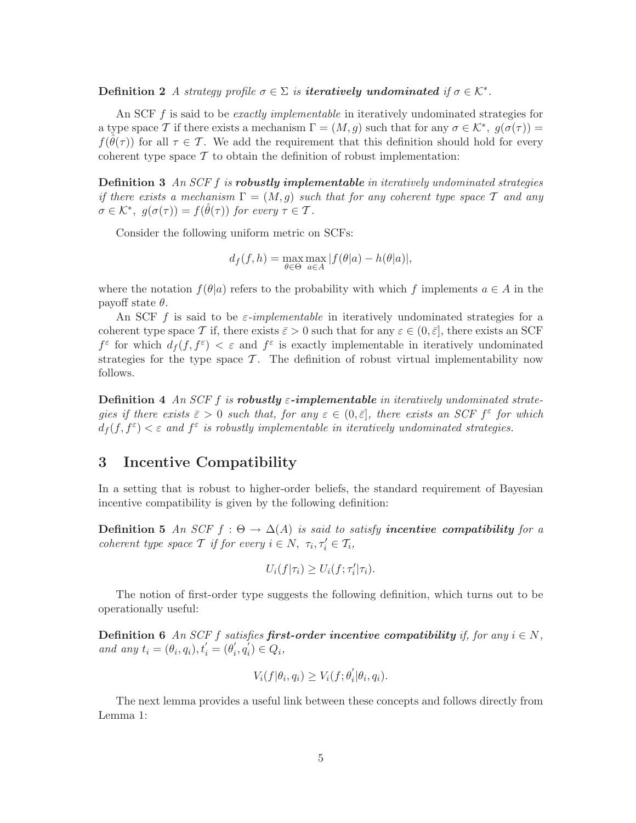**Definition 2** *A* strategy profile  $\sigma \in \Sigma$  is **iteratively undominated** if  $\sigma \in \mathcal{K}^*$ .

An SCF f is said to be *exactly implementable* in iteratively undominated strategies for a type space T if there exists a mechanism  $\Gamma = (M, g)$  such that for any  $\sigma \in \mathcal{K}^*$ ,  $g(\sigma(\tau)) =$  $f(\theta(\tau))$  for all  $\tau \in \mathcal{T}$ . We add the requirement that this definition should hold for every coherent type space  $\mathcal T$  to obtain the definition of robust implementation:

**Definition 3** *An SCF* f *is robustly implementable in iteratively undominated strategies if there exists a mechanism*  $\Gamma = (M, q)$  *such that for any coherent type space* T *and any*  $\sigma \in \mathcal{K}^*$ ,  $g(\sigma(\tau)) = f(\hat{\theta}(\tau))$  *for every*  $\tau \in \mathcal{T}$ *.* 

Consider the following uniform metric on SCFs:

$$
d_f(f, h) = \max_{\theta \in \Theta} \max_{a \in A} |f(\theta|a) - h(\theta|a)|,
$$

where the notation  $f(\theta|a)$  refers to the probability with which f implements  $a \in A$  in the payoff state  $\theta$ .

An SCF f is said to be  $\varepsilon$ -implementable in iteratively undominated strategies for a coherent type space T if, there exists  $\bar{\varepsilon} > 0$  such that for any  $\varepsilon \in (0, \bar{\varepsilon}]$ , there exists an SCF  $f^{\varepsilon}$  for which  $d_f(f, f^{\varepsilon}) < \varepsilon$  and  $f^{\varepsilon}$  is exactly implementable in iteratively undominated strategies for the type space  $\mathcal T$ . The definition of robust virtual implementability now follows.

**Definition 4** An SCF f is **robustly**  $\varepsilon$ -implementable in iteratively undominated strate*gies if there exists*  $\bar{\varepsilon} > 0$  *such that, for any*  $\varepsilon \in (0, \bar{\varepsilon}]$ *, there exists an SCF*  $f^{\varepsilon}$  *for which*  $d_f(f, f^{\varepsilon}) < \varepsilon$  and  $f^{\varepsilon}$  is robustly implementable in iteratively undominated strategies.

# **3 Incentive Compatibility**

In a setting that is robust to higher-order beliefs, the standard requirement of Bayesian incentive compatibility is given by the following definition:

**Definition 5** An SCF  $f : \Theta \to \Delta(A)$  is said to satisfy **incentive compatibility** for a *coherent type space*  $\mathcal{T}$  *if for every*  $i \in N$ ,  $\tau_i, \tau'_i \in \mathcal{T}_i$ ,

$$
U_i(f|\tau_i) \ge U_i(f;\tau'_i|\tau_i).
$$

The notion of first-order type suggests the following definition, which turns out to be operationally useful:

**Definition 6** *An SCF f satisfies first-order incentive compatibility if, for any*  $i \in N$ *, and any*  $t_i = (\theta_i, q_i), t'_i = (\theta'_i, q'_i) \in Q_i$ ,

$$
V_i(f|\theta_i, q_i) \ge V_i(f; \theta'_i|\theta_i, q_i).
$$

The next lemma provides a useful link between these concepts and follows directly from Lemma 1: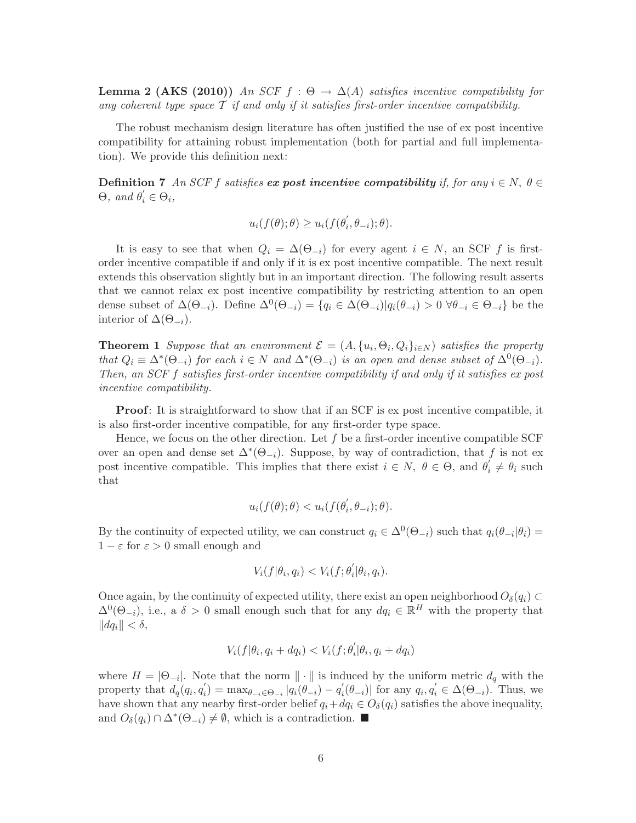**Lemma 2 (AKS (2010))** *An SCF*  $f : \Theta \to \Delta(A)$  *satisfies incentive compatibility for any coherent type space* T *if and only if it satisfies first-order incentive compatibility.*

The robust mechanism design literature has often justified the use of ex post incentive compatibility for attaining robust implementation (both for partial and full implementation). We provide this definition next:

**Definition 7** *An SCF f satisfies* **ex post incentive compatibility** if, for any  $i \in N$ ,  $\theta \in$  $\Theta$ *, and*  $\theta'_i \in \Theta_i$ *,* 

$$
u_i(f(\theta);\theta) \ge u_i(f(\theta'_i,\theta_{-i});\theta).
$$

It is easy to see that when  $Q_i = \Delta(\Theta_{-i})$  for every agent  $i \in N$ , an SCF f is firstorder incentive compatible if and only if it is ex post incentive compatible. The next result extends this observation slightly but in an important direction. The following result asserts that we cannot relax ex post incentive compatibility by restricting attention to an open dense subset of  $\Delta(\Theta_{-i})$ . Define  $\Delta^0(\Theta_{-i}) = \{q_i \in \Delta(\Theta_{-i}) | q_i(\theta_{-i}) > 0 \ \forall \theta_{-i} \in \Theta_{-i}\}\)$  be the interior of  $\Delta(\Theta_{-i})$ .

**Theorem 1** *Suppose that an environment*  $\mathcal{E} = (A, \{u_i, \Theta_i, Q_i\}_{i \in N})$  *satisfies the property that*  $Q_i \equiv \Delta^*(\Theta_{-i})$  *for each*  $i \in N$  *and*  $\Delta^*(\Theta_{-i})$  *is an open and dense subset of*  $\Delta^0(\Theta_{-i})$ *. Then, an SCF* f *satisfies first-order incentive compatibility if and only if it satisfies ex post incentive compatibility.*

**Proof**: It is straightforward to show that if an SCF is ex post incentive compatible, it is also first-order incentive compatible, for any first-order type space.

Hence, we focus on the other direction. Let  $f$  be a first-order incentive compatible SCF over an open and dense set  $\Delta^*(\Theta_{-i})$ . Suppose, by way of contradiction, that f is not ex post incentive compatible. This implies that there exist  $i \in N$ ,  $\theta \in \Theta$ , and  $\theta_i' \neq \theta_i$  such that

$$
u_i(f(\theta);\theta) < u_i(f(\theta_i', \theta_{-i}); \theta).
$$

By the continuity of expected utility, we can construct  $q_i \in \Delta^0(\Theta_{-i})$  such that  $q_i(\theta_{-i}|\theta_i)$  $1-\varepsilon$  for  $\varepsilon>0$  small enough and

$$
V_i(f|\theta_i, q_i) < V_i(f; \theta_i'|\theta_i, q_i).
$$

Once again, by the continuity of expected utility, there exist an open neighborhood  $O_{\delta}(q_i) \subset$  $\Delta^{0}(\Theta_{-i}),$  i.e., a  $\delta > 0$  small enough such that for any  $dq_i \in \mathbb{R}^H$  with the property that  $||dq_i|| < \delta$ ,

$$
V_i(f|\theta_i, q_i + dq_i) < V_i(f; \theta_i'|\theta_i, q_i + dq_i)
$$

where  $H = |\Theta_{-i}|$ . Note that the norm  $\|\cdot\|$  is induced by the uniform metric  $d_q$  with the property that  $d_q(q_i, q'_i) = \max_{\theta_{-i} \in \Theta_{-i}} |q_i(\theta_{-i}) - q'_i(\theta_{-i})|$  for any  $q_i, q'_i \in \Delta(\Theta_{-i})$ . Thus, we have shown that any nearby first-order belief  $q_i + dq_i \in O_{\delta}(q_i)$  satisfies the above inequality, and  $O_{\delta}(q_i) \cap \Delta^*(\Theta_{-i}) \neq \emptyset$ , which is a contradiction.  $\blacksquare$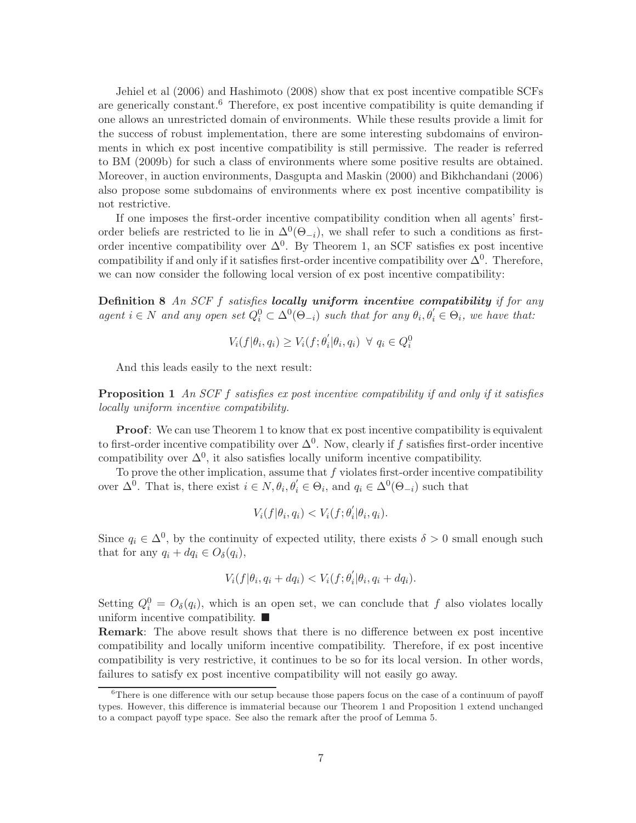Jehiel et al (2006) and Hashimoto (2008) show that ex post incentive compatible SCFs are generically constant.<sup>6</sup> Therefore, ex post incentive compatibility is quite demanding if one allows an unrestricted domain of environments. While these results provide a limit for the success of robust implementation, there are some interesting subdomains of environments in which ex post incentive compatibility is still permissive. The reader is referred to BM (2009b) for such a class of environments where some positive results are obtained. Moreover, in auction environments, Dasgupta and Maskin (2000) and Bikhchandani (2006) also propose some subdomains of environments where ex post incentive compatibility is not restrictive.

If one imposes the first-order incentive compatibility condition when all agents' firstorder beliefs are restricted to lie in  $\Delta^{0}(\Theta_{-i})$ , we shall refer to such a conditions as firstorder incentive compatibility over  $\Delta^{0}$ . By Theorem 1, an SCF satisfies ex post incentive compatibility if and only if it satisfies first-order incentive compatibility over  $\Delta^{0}$ . Therefore, we can now consider the following local version of ex post incentive compatibility:

**Definition 8** *An SCF* f *satisfies locally uniform incentive compatibility if for any*  $agent \ i \in N \ and \ any \ open \ set \ Q_i^0 \subset \Delta^0(\Theta_{-i}) \ such \ that \ for \ any \ \theta_i, \theta'_i \in \Theta_i, \ we \ have \ that:$ 

$$
V_i(f|\theta_i, q_i) \ge V_i(f; \theta'_i|\theta_i, q_i) \ \forall \ q_i \in Q_i^0
$$

And this leads easily to the next result:

**Proposition 1** *An SCF* f *satisfies ex post incentive compatibility if and only if it satisfies locally uniform incentive compatibility.*

**Proof**: We can use Theorem 1 to know that ex post incentive compatibility is equivalent to first-order incentive compatibility over  $\Delta^{0}$ . Now, clearly if f satisfies first-order incentive compatibility over  $\Delta^0$ , it also satisfies locally uniform incentive compatibility.

To prove the other implication, assume that  $f$  violates first-order incentive compatibility over  $\Delta^0$ . That is, there exist  $i \in N$ ,  $\theta_i$ ,  $\theta'_i \in \Theta_i$ , and  $q_i \in \Delta^0(\Theta_{-i})$  such that

$$
V_i(f|\theta_i, q_i) < V_i(f; \theta_i'|\theta_i, q_i).
$$

Since  $q_i \in \Delta^0$ , by the continuity of expected utility, there exists  $\delta > 0$  small enough such that for any  $q_i + dq_i \in O_{\delta}(q_i)$ ,

$$
V_i(f|\theta_i, q_i + dq_i) < V_i(f; \theta_i'|\theta_i, q_i + dq_i).
$$

Setting  $Q_i^0 = O_\delta(q_i)$ , which is an open set, we can conclude that f also violates locally uniform incentive compatibility.  $\blacksquare$ 

**Remark**: The above result shows that there is no difference between ex post incentive compatibility and locally uniform incentive compatibility. Therefore, if ex post incentive compatibility is very restrictive, it continues to be so for its local version. In other words, failures to satisfy ex post incentive compatibility will not easily go away.

<sup>&</sup>lt;sup>6</sup>There is one difference with our setup because those papers focus on the case of a continuum of payoff types. However, this difference is immaterial because our Theorem 1 and Proposition 1 extend unchanged to a compact payoff type space. See also the remark after the proof of Lemma 5.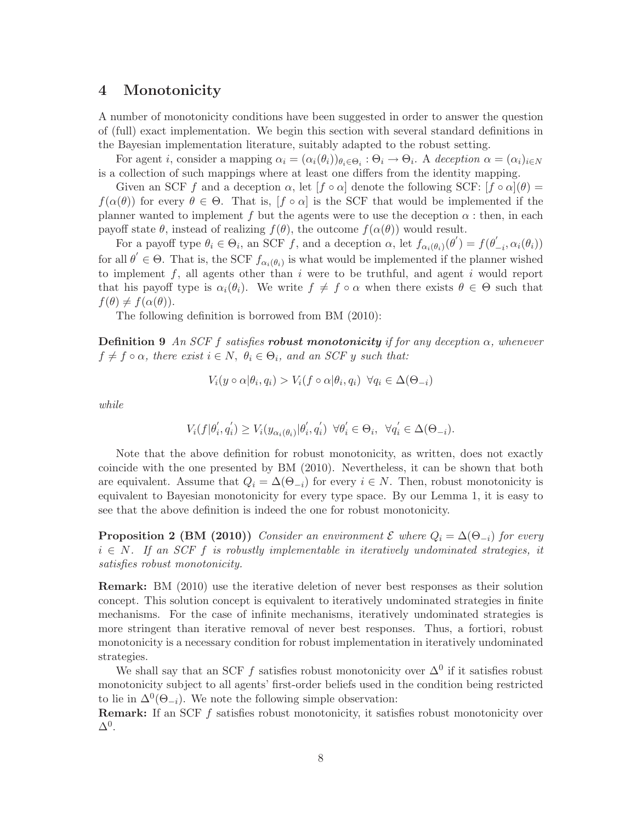# **4 Monotonicity**

A number of monotonicity conditions have been suggested in order to answer the question of (full) exact implementation. We begin this section with several standard definitions in the Bayesian implementation literature, suitably adapted to the robust setting.

For agent *i*, consider a mapping  $\alpha_i = (\alpha_i(\theta_i))_{\theta_i \in \Theta_i}$ :  $\Theta_i \to \Theta_i$ . A *deception*  $\alpha = (\alpha_i)_{i \in N}$ is a collection of such mappings where at least one differs from the identity mapping.

Given an SCF f and a deception  $\alpha$ , let  $[f \circ \alpha]$  denote the following SCF:  $[f \circ \alpha](\theta)$  =  $f(\alpha(\theta))$  for every  $\theta \in \Theta$ . That is,  $[f \circ \alpha]$  is the SCF that would be implemented if the planner wanted to implement f but the agents were to use the deception  $\alpha$ : then, in each payoff state  $\theta$ , instead of realizing  $f(\theta)$ , the outcome  $f(\alpha(\theta))$  would result.

For a payoff type  $\theta_i \in \Theta_i$ , an SCF f, and a deception  $\alpha$ , let  $f_{\alpha_i(\theta_i)}(\theta') = f(\theta'_{-i}, \alpha_i(\theta_i))$ for all  $\theta' \in \Theta$ . That is, the SCF  $f_{\alpha_i(\theta_i)}$  is what would be implemented if the planner wished to implement  $f$ , all agents other than  $i$  were to be truthful, and agent  $i$  would report that his payoff type is  $\alpha_i(\theta_i)$ . We write  $f \neq f \circ \alpha$  when there exists  $\theta \in \Theta$  such that  $f(\theta) \neq f(\alpha(\theta)).$ 

The following definition is borrowed from BM (2010):

**Definition 9** An SCF f satisfies **robust monotonicity** if for any deception  $\alpha$ , whenever  $f \neq f \circ \alpha$ , there exist  $i \in N$ ,  $\theta_i \in \Theta_i$ , and an *SCF* y *such that:* 

$$
V_i(y \circ \alpha | \theta_i, q_i) > V_i(f \circ \alpha | \theta_i, q_i) \ \forall q_i \in \Delta(\Theta_{-i})
$$

*while*

$$
V_i(f|\theta'_i, q'_i) \ge V_i(y_{\alpha_i(\theta_i)}|\theta'_i, q'_i) \ \ \forall \theta'_i \in \Theta_i, \ \ \forall q'_i \in \Delta(\Theta_{-i}).
$$

Note that the above definition for robust monotonicity, as written, does not exactly coincide with the one presented by BM (2010). Nevertheless, it can be shown that both are equivalent. Assume that  $Q_i = \Delta(\Theta_{-i})$  for every  $i \in N$ . Then, robust monotonicity is equivalent to Bayesian monotonicity for every type space. By our Lemma 1, it is easy to see that the above definition is indeed the one for robust monotonicity.

**Proposition 2 (BM (2010))** *Consider an environment*  $\mathcal{E}$  *where*  $Q_i = \Delta(\Theta_{-i})$  *for every* i ∈ N*. If an SCF* f *is robustly implementable in iteratively undominated strategies, it satisfies robust monotonicity.*

**Remark:** BM (2010) use the iterative deletion of never best responses as their solution concept. This solution concept is equivalent to iteratively undominated strategies in finite mechanisms. For the case of infinite mechanisms, iteratively undominated strategies is more stringent than iterative removal of never best responses. Thus, a fortiori, robust monotonicity is a necessary condition for robust implementation in iteratively undominated strategies.

We shall say that an SCF f satisfies robust monotonicity over  $\Delta^0$  if it satisfies robust monotonicity subject to all agents' first-order beliefs used in the condition being restricted to lie in  $\Delta^{0}(\Theta_{-i})$ . We note the following simple observation:

**Remark:** If an SCF f satisfies robust monotonicity, it satisfies robust monotonicity over  $\Delta^0$ .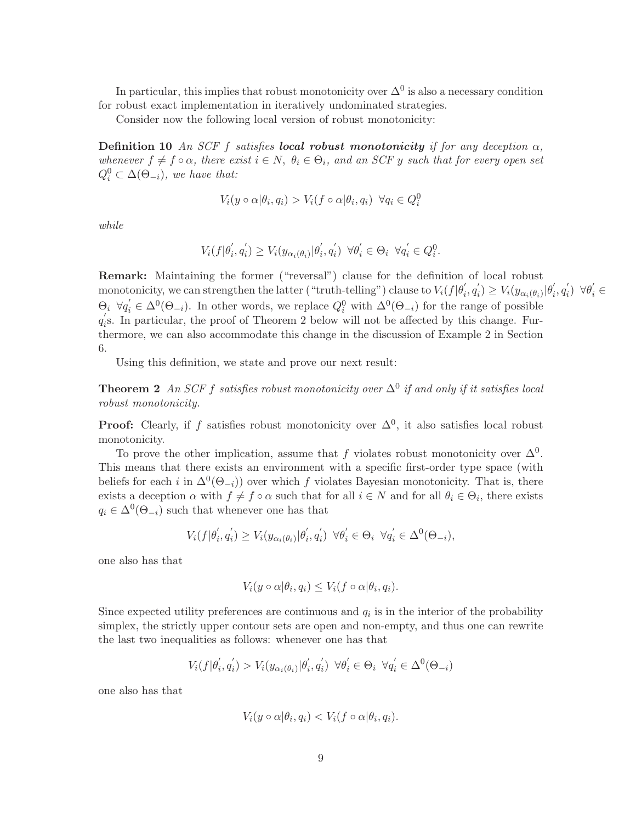In particular, this implies that robust monotonicity over  $\Delta^0$  is also a necessary condition for robust exact implementation in iteratively undominated strategies.

Consider now the following local version of robust monotonicity:

**Definition 10** An SCF f satisfies **local robust monotonicity** if for any deception  $\alpha$ , *whenever*  $f \neq f \circ \alpha$ *, there exist*  $i \in N$ ,  $\theta_i \in \Theta_i$ *, and an SCF y such that for every open set*  $Q_i^0 \subset \Delta(\Theta_{-i}),$  we have that:

$$
V_i(y \circ \alpha | \theta_i, q_i) > V_i(f \circ \alpha | \theta_i, q_i) \ \forall q_i \in Q_i^0
$$

*while*

$$
V_i(f|\theta'_i, q'_i) \ge V_i(y_{\alpha_i(\theta_i)}|\theta'_i, q'_i) \ \ \forall \theta'_i \in \Theta_i \ \ \forall q'_i \in Q_i^0.
$$

**Remark:** Maintaining the former ("reversal") clause for the definition of local robust monotonicity, we can strengthen the latter ("truth-telling") clause to  $V_i(f|\theta'_i, q'_i) \ge V_i(y_{\alpha_i(\theta_i)}|\theta'_i, q'_i) \ \forall \theta'_i \in$  $\Theta_i \ \forall q_i' \in \Delta^0(\Theta_{-i}).$  In other words, we replace  $Q_i^0$  with  $\Delta^0(\Theta_{-i})$  for the range of possible  $q_i$ 's. In particular, the proof of Theorem 2 below will not be affected by this change. Furthermore, we can also accommodate this change in the discussion of Example 2 in Section 6.

Using this definition, we state and prove our next result:

**Theorem 2** *An SCF f satisfies robust monotonicity over*  $\Delta^0$  *if and only if it satisfies local robust monotonicity.*

**Proof:** Clearly, if f satisfies robust monotonicity over  $\Delta^0$ , it also satisfies local robust monotonicity.

To prove the other implication, assume that f violates robust monotonicity over  $\Delta^0$ . This means that there exists an environment with a specific first-order type space (with beliefs for each i in  $\Delta^{0}(\Theta_{-i})$  over which f violates Bayesian monotonicity. That is, there exists a deception  $\alpha$  with  $f \neq f \circ \alpha$  such that for all  $i \in N$  and for all  $\theta_i \in \Theta_i$ , there exists  $q_i \in \Delta^0(\Theta_{-i})$  such that whenever one has that

$$
V_i(f|\theta_i^{'},q_i^{'})\geq V_i(y_{\alpha_i(\theta_i)}|\theta_i^{'},q_i^{'})\;\;\forall \theta_i^{'}\in\Theta_i\;\;\forall q_i^{'}\in\Delta^0(\Theta_{-i}),
$$

one also has that

$$
V_i(y \circ \alpha | \theta_i, q_i) \le V_i(f \circ \alpha | \theta_i, q_i).
$$

Since expected utility preferences are continuous and  $q_i$  is in the interior of the probability simplex, the strictly upper contour sets are open and non-empty, and thus one can rewrite the last two inequalities as follows: whenever one has that

$$
V_i(f|\theta'_i, q'_i) > V_i(y_{\alpha_i(\theta_i)}|\theta'_i, q'_i) \ \forall \theta'_i \in \Theta_i \ \forall q'_i \in \Delta^0(\Theta_{-i})
$$

one also has that

$$
V_i(y \circ \alpha | \theta_i, q_i) < V_i(f \circ \alpha | \theta_i, q_i).
$$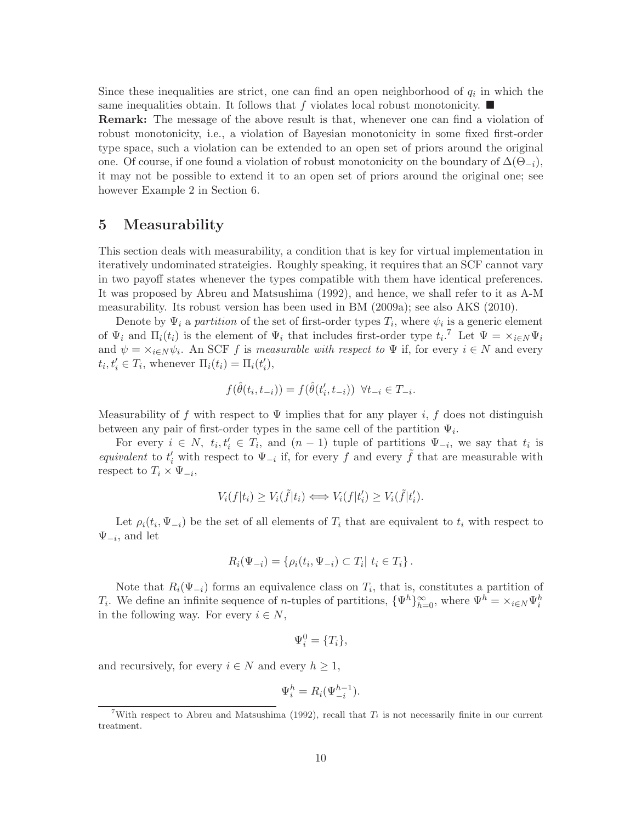Since these inequalities are strict, one can find an open neighborhood of  $q_i$  in which the same inequalities obtain. It follows that  $f$  violates local robust monotonicity.  $\blacksquare$ **Remark:** The message of the above result is that, whenever one can find a violation of robust monotonicity, i.e., a violation of Bayesian monotonicity in some fixed first-order type space, such a violation can be extended to an open set of priors around the original one. Of course, if one found a violation of robust monotonicity on the boundary of  $\Delta(\Theta_{-i}),$ it may not be possible to extend it to an open set of priors around the original one; see however Example 2 in Section 6.

### **5 Measurability**

This section deals with measurability, a condition that is key for virtual implementation in iteratively undominated strateigies. Roughly speaking, it requires that an SCF cannot vary in two payoff states whenever the types compatible with them have identical preferences. It was proposed by Abreu and Matsushima (1992), and hence, we shall refer to it as A-M measurability. Its robust version has been used in BM (2009a); see also AKS (2010).

Denote by  $\Psi_i$  a *partition* of the set of first-order types  $T_i$ , where  $\psi_i$  is a generic element of  $\Psi_i$  and  $\Pi_i(t_i)$  is the element of  $\Psi_i$  that includes first-order type  $t_i$ .<sup>7</sup> Let  $\Psi = \times_{i \in N} \Psi_i$ and  $\psi = \times_{i \in N} \psi_i$ . An SCF f is *measurable with respect to*  $\Psi$  if, for every  $i \in N$  and every  $t_i, t'_i \in T_i$ , whenever  $\Pi_i(t_i) = \Pi_i(t'_i)$ ,

$$
f(\hat{\theta}(t_i, t_{-i})) = f(\hat{\theta}(t'_i, t_{-i})) \ \forall t_{-i} \in T_{-i}.
$$

Measurability of f with respect to  $\Psi$  implies that for any player i, f does not distinguish between any pair of first-order types in the same cell of the partition  $\Psi_i$ .

For every  $i \in N$ ,  $t_i, t'_i \in T_i$ , and  $(n-1)$  tuple of partitions  $\Psi_{-i}$ , we say that  $t_i$  is *equivalent* to  $t'_{i}$  with respect to  $\Psi_{-i}$  if, for every f and every f that are measurable with respect to  $T_i \times \Psi_{-i}$ ,

$$
V_i(f|t_i) \ge V_i(\tilde{f}|t_i) \Longleftrightarrow V_i(f|t_i') \ge V_i(\tilde{f}|t_i').
$$

Let  $\rho_i(t_i, \Psi_{-i})$  be the set of all elements of  $T_i$  that are equivalent to  $t_i$  with respect to  $\Psi_{-i}$ , and let

$$
R_i(\Psi_{-i}) = \{ \rho_i(t_i, \Psi_{-i}) \subset T_i | t_i \in T_i \}.
$$

Note that  $R_i(\Psi_{-i})$  forms an equivalence class on  $T_i$ , that is, constitutes a partition of T<sub>i</sub>. We define an infinite sequence of n-tuples of partitions,  $\{\Psi^h\}_{h=0}^{\infty}$ , where  $\Psi^h = \times_{i \in N} \Psi^h_i$ in the following way. For every  $i \in N$ ,

$$
\Psi_i^0 = \{T_i\},\
$$

and recursively, for every  $i \in N$  and every  $h \geq 1$ ,

$$
\Psi_i^h = R_i(\Psi_{-i}^{h-1}).
$$

<sup>&</sup>lt;sup>7</sup>With respect to Abreu and Matsushima (1992), recall that  $T_i$  is not necessarily finite in our current treatment.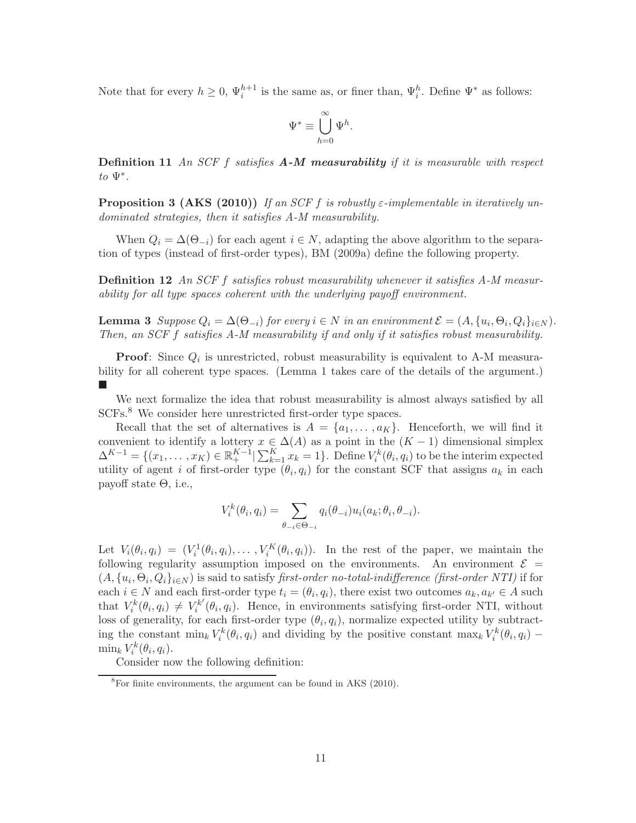Note that for every  $h \geq 0$ ,  $\Psi_i^{h+1}$  is the same as, or finer than,  $\Psi_i^h$ . Define  $\Psi^*$  as follows:

$$
\Psi^* \equiv \bigcup_{h=0}^{\infty} \Psi^h.
$$

**Definition 11** *An SCF* f *satisfies A-M measurability if it is measurable with respect to* Ψ∗*.*

**Proposition 3 (AKS (2010))** *If an SCF* f *is robustly* ε*-implementable in iteratively undominated strategies, then it satisfies A-M measurability.*

When  $Q_i = \Delta(\Theta_{-i})$  for each agent  $i \in N$ , adapting the above algorithm to the separation of types (instead of first-order types), BM (2009a) define the following property.

**Definition 12** *An SCF* f *satisfies robust measurability whenever it satisfies A-M measurability for all type spaces coherent with the underlying payoff environment.*

**Lemma 3**  $Suppose Q_i = \Delta(\Theta_{-i})$  *for every*  $i \in N$  *in an environment*  $\mathcal{E} = (A, \{u_i, \Theta_i, Q_i\}_{i \in N})$ *. Then, an SCF* f *satisfies A-M measurability if and only if it satisfies robust measurability.*

**Proof**: Since  $Q_i$  is unrestricted, robust measurability is equivalent to A-M measurability for all coherent type spaces. (Lemma 1 takes care of the details of the argument.) -

We next formalize the idea that robust measurability is almost always satisfied by all SCFs.<sup>8</sup> We consider here unrestricted first-order type spaces.

Recall that the set of alternatives is  $A = \{a_1, \ldots, a_K\}$ . Henceforth, we will find it convenient to identify a lottery  $x \in \Delta(A)$  as a point in the  $(K-1)$  dimensional simplex  $\Delta^{K-1} = \{(x_1, \ldots, x_K) \in \mathbb{R}_+^{K-1} | \sum_{k=1}^K x_k = 1\}.$  Define  $V_i^k(\theta_i, q_i)$  to be the interim expected utility of agent i of first-order type  $(\theta_i, q_i)$  for the constant SCF that assigns  $a_k$  in each payoff state  $\Theta$ , i.e.,

$$
V_i^k(\theta_i, q_i) = \sum_{\theta_{-i} \in \Theta_{-i}} q_i(\theta_{-i}) u_i(a_k; \theta_i, \theta_{-i}).
$$

Let  $V_i(\theta_i, q_i) = (V_i^1(\theta_i, q_i), \dots, V_i^K(\theta_i, q_i)).$  In the rest of the paper, we maintain the following regularity assumption imposed on the environments. An environment  $\mathcal{E}$  =  $(A, \{u_i, \Theta_i, Q_i\}_{i\in N})$  is said to satisfy *first-order no-total-indifference (first-order NTI)* if for each  $i \in N$  and each first-order type  $t_i = (\theta_i, q_i)$ , there exist two outcomes  $a_k, a_{k'} \in A$  such that  $V_i^k(\theta_i, q_i) \neq V_i^{k'}(\theta_i, q_i)$ . Hence, in environments satisfying first-order NTI, without loss of generality, for each first-order type  $(\theta_i, q_i)$ , normalize expected utility by subtracting the constant  $\min_k V_i^k(\theta_i, q_i)$  and dividing by the positive constant  $\max_k V_i^k(\theta_i, q_i)$  –  $\min_k V_i^k(\theta_i, q_i).$ 

Consider now the following definition:

 ${}^{8}$ For finite environments, the argument can be found in AKS (2010).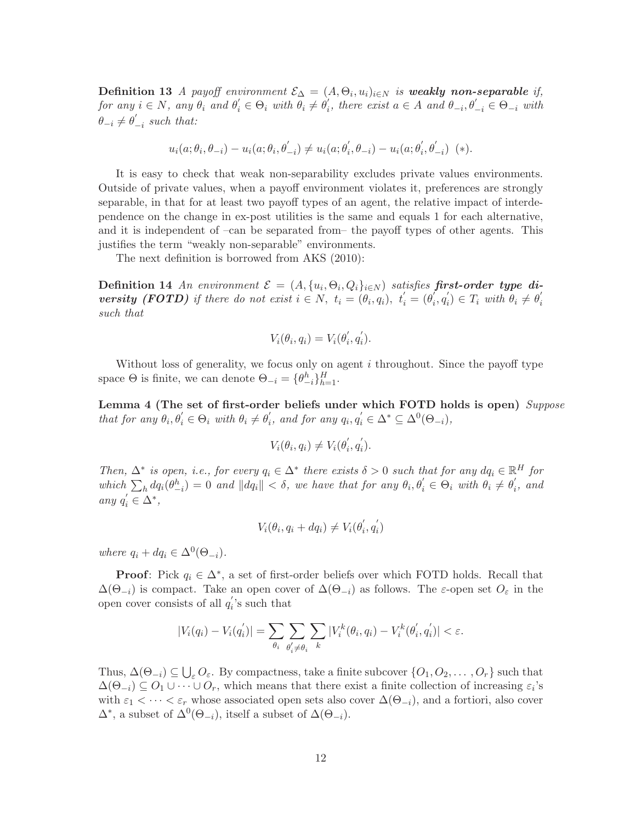**Definition 13** *A payoff environment*  $\mathcal{E}_{\Delta} = (A, \Theta_i, u_i)_{i \in \mathbb{N}}$  *is weakly non-separable if,*  $for any i \in N$ , any  $\theta_i$  and  $\theta'_i \in \Theta_i$  with  $\theta_i \neq \theta'_i$ , there exist  $a \in A$  and  $\theta_{-i}, \theta'_{-i} \in \Theta_{-i}$  with  $\theta_{-i} \neq \theta'_{-i}$  such that:

$$
u_i(a; \theta_i, \theta_{-i}) - u_i(a; \theta_i, \theta'_{-i}) \neq u_i(a; \theta'_i, \theta_{-i}) - u_i(a; \theta'_i, \theta'_{-i})
$$
(\*)

It is easy to check that weak non-separability excludes private values environments. Outside of private values, when a payoff environment violates it, preferences are strongly separable, in that for at least two payoff types of an agent, the relative impact of interdependence on the change in ex-post utilities is the same and equals 1 for each alternative, and it is independent of –can be separated from– the payoff types of other agents. This justifies the term "weakly non-separable" environments.

The next definition is borrowed from AKS (2010):

**Definition 14** *An environment*  $\mathcal{E} = (A, \{u_i, \Theta_i, Q_i\}_{i \in N})$  *satisfies* **first-order type di***versity (FOTD)* if there do not exist  $i \in N$ ,  $t_i = (\theta_i, q_i)$ ,  $t'_i = (\theta'_i, q'_i) \in T_i$  with  $\theta_i \neq \theta'_i$ *such that*

$$
V_i(\theta_i, q_i) = V_i(\theta_i', q_i').
$$

Without loss of generality, we focus only on agent  $i$  throughout. Since the payoff type space  $\Theta$  is finite, we can denote  $\Theta_{-i} = {\theta_{-i}^h}_{h=1}^H$ .

**Lemma 4 (The set of first-order beliefs under which FOTD holds is open)** *Suppose that for any*  $\theta_i, \theta'_i \in \Theta_i$  *with*  $\theta_i \neq \theta'_i$ *, and for any*  $q_i, q'_i \in \Delta^* \subseteq \Delta^0(\Theta_{-i}),$ 

$$
V_i(\theta_i, q_i) \neq V_i(\theta_i', q_i').
$$

*Then,*  $\Delta^*$  *is open, i.e., for every*  $q_i \in \Delta^*$  *there exists*  $\delta > 0$  *such that for any*  $dq_i \in \mathbb{R}^H$  *for*  $which \sum_h dq_i(\theta_{-i}^h) = 0$  and  $||dq_i|| < \delta$ , we have that for any  $\theta_i, \theta_i' \in \Theta_i$  with  $\theta_i \neq \theta_i'$ , and  $\arg q'_i \in \Delta^*,$ 

$$
V_i(\theta_i, q_i + dq_i) \neq V_i(\theta'_i, q'_i)
$$

*where*  $q_i + dq_i \in \Delta^0(\Theta_{-i})$ *.* 

**Proof**: Pick  $q_i \in \Delta^*$ , a set of first-order beliefs over which FOTD holds. Recall that  $\Delta(\Theta_{-i})$  is compact. Take an open cover of  $\Delta(\Theta_{-i})$  as follows. The  $\varepsilon$ -open set  $O_{\varepsilon}$  in the open cover consists of all  $q_i$ 's such that

$$
|V_i(q_i) - V_i(q_i')| = \sum_{\theta_i} \sum_{\theta_i' \neq \theta_i} \sum_k |V_i^k(\theta_i, q_i) - V_i^k(\theta_i', q_i')| < \varepsilon.
$$

Thus,  $\Delta(\Theta_{-i}) \subseteq \bigcup_{\varepsilon} O_{\varepsilon}$ . By compactness, take a finite subcover  $\{O_1, O_2, \ldots, O_r\}$  such that  $\Delta(\Theta_{-i}) \subseteq O_1 \cup \cdots \cup O_r$ , which means that there exist a finite collection of increasing  $\varepsilon_i$ 's with  $\varepsilon_1 < \cdots < \varepsilon_r$  whose associated open sets also cover  $\Delta(\Theta_{-i})$ , and a fortiori, also cover  $\Delta^*$ , a subset of  $\Delta^0(\Theta_{-i})$ , itself a subset of  $\Delta(\Theta_{-i})$ .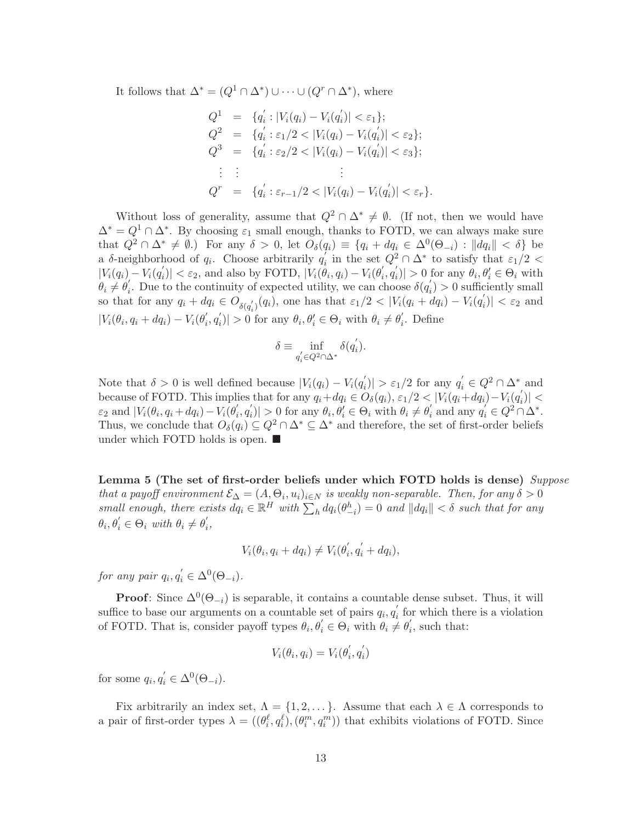It follows that  $\Delta^* = (Q^1 \cap \Delta^*) \cup \cdots \cup (Q^r \cap \Delta^*)$ , where

$$
Q^{1} = \{q_{i}^{'} : |V_{i}(q_{i}) - V_{i}(q_{i}^{'})| < \varepsilon_{1}\};
$$
  
\n
$$
Q^{2} = \{q_{i}^{'} : \varepsilon_{1}/2 < |V_{i}(q_{i}) - V_{i}(q_{i}^{'})| < \varepsilon_{2}\};
$$
  
\n
$$
Q^{3} = \{q_{i}^{'} : \varepsilon_{2}/2 < |V_{i}(q_{i}) - V_{i}(q_{i}^{'})| < \varepsilon_{3}\};
$$
  
\n
$$
\vdots \qquad \vdots
$$
  
\n
$$
Q^{r} = \{q_{i}^{'} : \varepsilon_{r-1}/2 < |V_{i}(q_{i}) - V_{i}(q_{i}^{'})| < \varepsilon_{r}\}.
$$

Without loss of generality, assume that  $Q^2 \cap \Delta^* \neq \emptyset$ . (If not, then we would have  $\Delta^* = Q^1 \cap \Delta^*$ . By choosing  $\varepsilon_1$  small enough, thanks to FOTD, we can always make sure that  $Q^2 \cap \Delta^* \neq \emptyset$ .) For any  $\delta > 0$ , let  $O_{\delta}(q_i) \equiv \{q_i + dq_i \in \Delta^0(\Theta_{-i}) : ||dq_i|| < \delta\}$  be a δ-neighborhood of  $q_i$ . Choose arbitrarily  $q'_i$  in the set  $Q^2 \cap \Delta^*$  to satisfy that  $\varepsilon_1/2$  <  $|V_i(q_i) - V_i(q'_i)| < \varepsilon_2$ , and also by FOTD,  $|V_i(\theta_i, q_i) - V_i(\theta'_i, q'_i)| > 0$  for any  $\theta_i, \theta'_i \in \Theta_i$  with  $\theta_i \neq \theta'_i$ . Due to the continuity of expected utility, we can choose  $\delta(q'_i) > 0$  sufficiently small so that for any  $q_i + dq_i \in O_{\delta(q'_i)}(q_i)$ , one has that  $\varepsilon_1/2 < |V_i(q_i + dq_i) - V_i(q'_i)| < \varepsilon_2$  and  $|V_i(\theta_i, q_i + dq_i) - V_i(\theta'_i, q'_i)| > 0$  for any  $\theta_i, \theta'_i \in \Theta_i$  with  $\theta_i \neq \theta'_i$ . Define

$$
\delta \equiv \inf_{q_i' \in Q^2 \cap \Delta^*} \delta(q_i').
$$

Note that  $\delta > 0$  is well defined because  $|V_i(q_i) - V_i(q'_i)| > \varepsilon_1/2$  for any  $q'_i \in Q^2 \cap \Delta^*$  and because of FOTD. This implies that for any  $q_i + dq_i \in O_{\delta}(q_i), \epsilon_1/2 < |V_i(q_i + dq_i) - V_i(q_i')| <$  $\varepsilon_2$  and  $|V_i(\theta_i, q_i + dq_i) - V_i(\theta'_i, q'_i)| > 0$  for any  $\theta_i, \theta'_i \in \Theta_i$  with  $\theta_i \neq \theta'_i$  and any  $q'_i \in Q^2 \cap \Delta^*$ . Thus, we conclude that  $O_{\delta}(q_i) \subseteq Q^2 \cap \Delta^* \subseteq \Delta^*$  and therefore, the set of first-order beliefs under which FOTD holds is open.  $\blacksquare$ 

**Lemma 5 (The set of first-order beliefs under which FOTD holds is dense)** *Suppose that a payoff environment*  $\mathcal{E}_{\Delta} = (A, \Theta_i, u_i)_{i \in N}$  *is weakly non-separable. Then, for any*  $\delta > 0$ *small enough, there exists*  $dq_i \in \mathbb{R}^H$  with  $\sum_h dq_i(\theta_{-i}^h) = 0$  and  $||dq_i|| < \delta$  such that for any  $\theta_i, \theta'_i \in \Theta_i$  with  $\theta_i \neq \theta'_i$ ,

$$
V_i(\theta_i, q_i + dq_i) \neq V_i(\theta'_i, q'_i + dq_i),
$$

*for any pair*  $q_i, q'_i \in \Delta^0(\Theta_{-i})$ .

**Proof**: Since  $\Delta^{0}(\Theta_{-i})$  is separable, it contains a countable dense subset. Thus, it will suffice to base our arguments on a countable set of pairs  $q_i, q'_i$  for which there is a violation of FOTD. That is, consider payoff types  $\theta_i, \theta'_i \in \Theta_i$  with  $\theta_i \neq \theta'_i$ , such that:

$$
V_i(\theta_i, q_i) = V_i(\theta_i', q_i')
$$

for some  $q_i, q_i' \in \Delta^0(\Theta_{-i}).$ 

Fix arbitrarily an index set,  $\Lambda = \{1, 2, ...\}$ . Assume that each  $\lambda \in \Lambda$  corresponds to a pair of first-order types  $\lambda = ((\theta_i^{\ell}, q_i^{\ell}), (\theta_i^m, q_i^m))$  that exhibits violations of FOTD. Since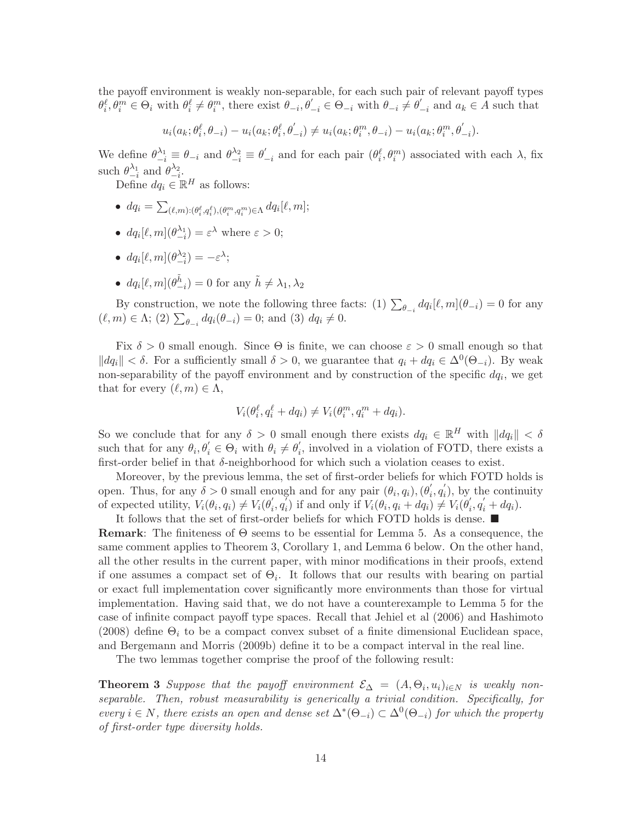the payoff environment is weakly non-separable, for each such pair of relevant payoff types  $\theta_i^{\ell}, \theta_i^m \in \Theta_i$  with  $\theta_i^{\ell} \neq \theta_i^m$ , there exist  $\theta_{-i}, \theta'_{-i} \in \Theta_{-i}$  with  $\theta_{-i} \neq \theta'_{-i}$  and  $a_k \in A$  such that

$$
u_i(a_k; \theta_i^{\ell}, \theta_{-i}) - u_i(a_k; \theta_i^{\ell}, \theta'_{-i}) \neq u_i(a_k; \theta_i^m, \theta_{-i}) - u_i(a_k; \theta_i^m, \theta'_{-i}).
$$

We define  $\theta_{-i}^{\lambda_1} \equiv \theta_{-i}$  and  $\theta_{-i}^{\lambda_2} \equiv \theta_{-i}$  and for each pair  $(\theta_i^{\ell}, \theta_i^m)$  associated with each  $\lambda$ , fix such  $\theta^{\lambda_1}_{-i}$  and  $\theta^{\lambda_2}_{-i}$ .

Define  $dq_i \in \mathbb{R}^H$  as follows:

- $dq_i = \sum_{(\ell,m):(\theta_i^{\ell},q_i^{\ell}),(\theta_i^m,q_i^m)\in\Lambda} dq_i[\ell,m];$
- $dq_i[\ell,m](\theta_{-i}^{\lambda_1}) = \varepsilon^{\lambda}$  where  $\varepsilon > 0$ ;
- $dq_i[\ell,m](\theta_{-i}^{\lambda_2}) = -\varepsilon^{\lambda};$
- $dq_i[\ell, m](\theta \tilde{h}_i) = 0$  for any  $\tilde{h} \neq \lambda_1, \lambda_2$

By construction, we note the following three facts:  $(1) \sum_{\theta_i} dq_i [\ell, m](\theta_{-i}) = 0$  for any  $(\ell, m) \in \Lambda$ ; (2)  $\sum_{\theta_{-i}} dq_i(\theta_{-i}) = 0$ ; and (3)  $dq_i \neq 0$ .

Fix  $\delta > 0$  small enough. Since  $\Theta$  is finite, we can choose  $\varepsilon > 0$  small enough so that  $\|dq_i\| < \delta$ . For a sufficiently small  $\delta > 0$ , we guarantee that  $q_i + dq_i \in \Delta^0(\Theta_{-i})$ . By weak non-separability of the payoff environment and by construction of the specific  $dq_i$ , we get that for every  $(\ell, m) \in \Lambda$ ,

$$
V_i(\theta_i^{\ell}, q_i^{\ell} + dq_i) \neq V_i(\theta_i^m, q_i^m + dq_i).
$$

So we conclude that for any  $\delta > 0$  small enough there exists  $dq_i \in \mathbb{R}^H$  with  $||dq_i|| < \delta$ such that for any  $\theta_i, \theta'_i \in \Theta_i$  with  $\theta_i \neq \theta'_i$ , involved in a violation of FOTD, there exists a first-order belief in that  $\delta$ -neighborhood for which such a violation ceases to exist.

Moreover, by the previous lemma, the set of first-order beliefs for which FOTD holds is open. Thus, for any  $\delta > 0$  small enough and for any pair  $(\theta_i, q_i), (\theta'_i, q'_i)$ , by the continuity of expected utility,  $V_i(\theta_i, q_i) \neq V_i(\theta'_i, q'_i)$  if and only if  $V_i(\theta_i, q_i + dq_i) \neq V_i(\theta'_i, q'_i + dq_i)$ .

It follows that the set of first-order beliefs for which FOTD holds is dense.  $\blacksquare$ **Remark**: The finiteness of Θ seems to be essential for Lemma 5. As a consequence, the same comment applies to Theorem 3, Corollary 1, and Lemma 6 below. On the other hand, all the other results in the current paper, with minor modifications in their proofs, extend if one assumes a compact set of  $\Theta_i$ . It follows that our results with bearing on partial or exact full implementation cover significantly more environments than those for virtual implementation. Having said that, we do not have a counterexample to Lemma 5 for the case of infinite compact payoff type spaces. Recall that Jehiel et al (2006) and Hashimoto (2008) define  $\Theta_i$  to be a compact convex subset of a finite dimensional Euclidean space, and Bergemann and Morris (2009b) define it to be a compact interval in the real line.

The two lemmas together comprise the proof of the following result:

**Theorem 3** *Suppose that the payoff environment*  $\mathcal{E}_{\Delta} = (A, \Theta_i, u_i)_{i \in N}$  *is weakly nonseparable. Then, robust measurability is generically a trivial condition. Specifically, for every*  $i \in N$ , there exists an open and dense set  $\Delta^*(\Theta_{-i}) \subset \Delta^0(\Theta_{-i})$  for which the property *of first-order type diversity holds.*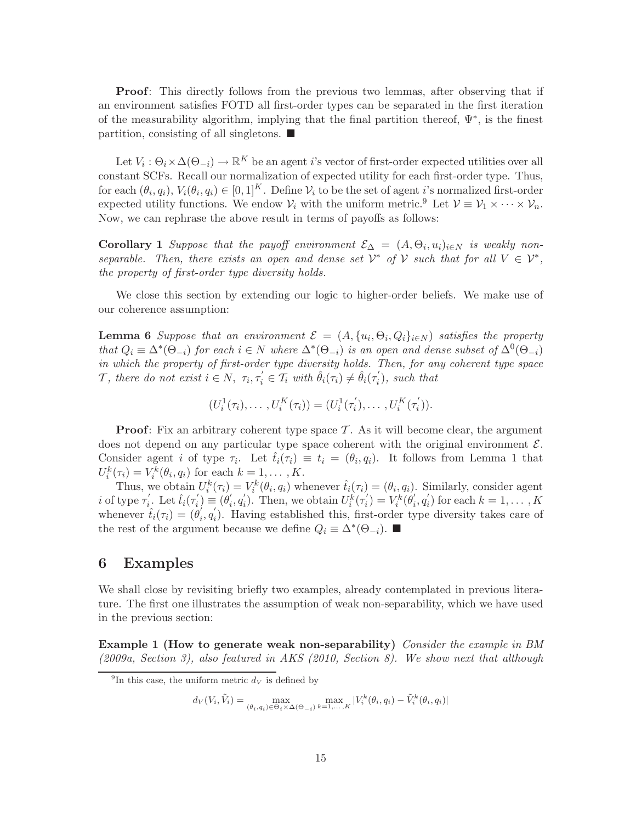**Proof**: This directly follows from the previous two lemmas, after observing that if an environment satisfies FOTD all first-order types can be separated in the first iteration of the measurability algorithm, implying that the final partition thereof,  $\Psi^*$ , is the finest partition, consisting of all singletons.  $\blacksquare$ 

Let  $V_i : \Theta_i \times \Delta(\Theta_{-i}) \to \mathbb{R}^K$  be an agent i's vector of first-order expected utilities over all constant SCFs. Recall our normalization of expected utility for each first-order type. Thus, for each  $(\theta_i, q_i), V_i(\theta_i, q_i) \in [0, 1]^K$ . Define  $V_i$  to be the set of agent i's normalized first-order expected utility functions. We endow  $\mathcal{V}_i$  with the uniform metric.<sup>9</sup> Let  $\mathcal{V} \equiv \mathcal{V}_1 \times \cdots \times \mathcal{V}_n$ . Now, we can rephrase the above result in terms of payoffs as follows:

**Corollary 1** *Suppose that the payoff environment*  $\mathcal{E}_{\Delta} = (A, \Theta_i, u_i)_{i \in N}$  *is weakly nonseparable.* Then, there exists an open and dense set  $V^*$  of V such that for all  $V \in V^*$ , *the property of first-order type diversity holds.*

We close this section by extending our logic to higher-order beliefs. We make use of our coherence assumption:

**Lemma 6** *Suppose that an environment*  $\mathcal{E} = (A, \{u_i, \Theta_i, Q_i\}_{i \in N})$  *satisfies the property that*  $Q_i \equiv \Delta^*(\Theta_{-i})$  *for each*  $i \in N$  *where*  $\Delta^*(\Theta_{-i})$  *is an open and dense subset of*  $\Delta^0(\Theta_{-i})$ *in which the property of first-order type diversity holds. Then, for any coherent type space* T, there do not exist  $i \in N$ ,  $\tau_i, \tau'_i \in \mathcal{T}_i$  with  $\hat{\theta}_i(\tau_i) \neq \hat{\theta}_i(\tau'_i)$ , such that

$$
(U_i^1(\tau_i), \dots, U_i^K(\tau_i)) = (U_i^1(\tau_i'), \dots, U_i^K(\tau_i')).
$$

**Proof**: Fix an arbitrary coherent type space  $\mathcal{T}$ . As it will become clear, the argument does not depend on any particular type space coherent with the original environment  $\mathcal{E}$ . Consider agent *i* of type  $\tau_i$ . Let  $\hat{t}_i(\tau_i) \equiv t_i = (\theta_i, q_i)$ . It follows from Lemma 1 that  $U_i^k(\tau_i) = V_i^k(\theta_i, q_i)$  for each  $k = 1, \dots, K$ .

Thus, we obtain  $U_i^k(\tau_i) = V_i^k(\theta_i, q_i)$  whenever  $\hat{t}_i(\tau_i) = (\theta_i, q_i)$ . Similarly, consider agent *i* of type  $\tau'_i$ . Let  $\hat{t}_i(\tau'_i) \equiv (\theta'_i, q'_i)$ . Then, we obtain  $U_i^k(\tau'_i) = V_i^k(\theta'_i, q'_i)$  for each  $k = 1, \ldots, K$ whenever  $\hat{t}_i(\tau_i)=(\theta'_i, q'_i)$ . Having established this, first-order type diversity takes care of the rest of the argument because we define  $Q_i \equiv \Delta^*(\Theta_{-i})$ .

#### **6 Examples**

We shall close by revisiting briefly two examples, already contemplated in previous literature. The first one illustrates the assumption of weak non-separability, which we have used in the previous section:

**Example 1 (How to generate weak non-separability)** *Consider the example in BM (2009a, Section 3), also featured in AKS (2010, Section 8). We show next that although*

$$
d_V(V_i, \tilde{V}_i) = \max_{(\theta_i, q_i) \in \Theta_i \times \Delta(\Theta_{-i})} \max_{k=1,...,K} |V_i^k(\theta_i, q_i) - \tilde{V}_i^k(\theta_i, q_i)|
$$

<sup>&</sup>lt;sup>9</sup>In this case, the uniform metric  $d_V$  is defined by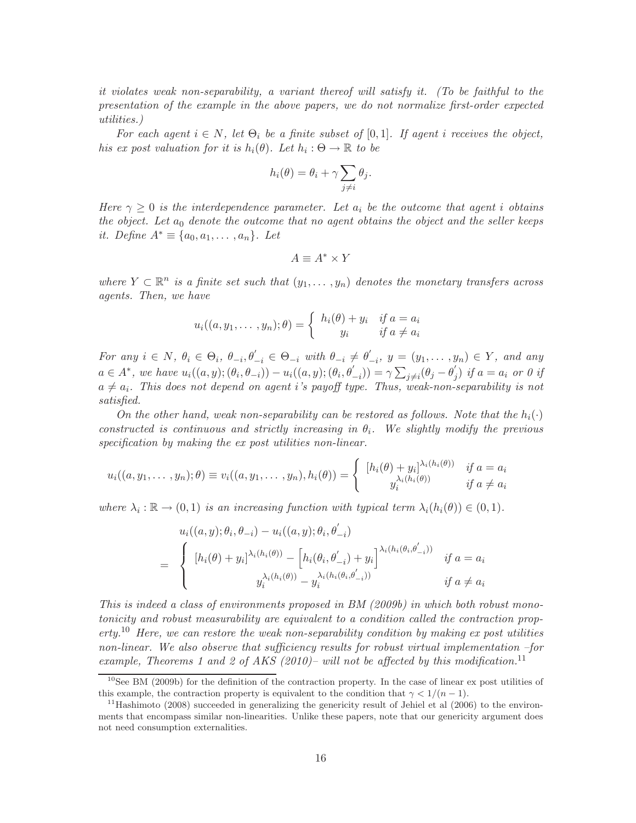*it violates weak non-separability, a variant thereof will satisfy it. (To be faithful to the presentation of the example in the above papers, we do not normalize first-order expected utilities.)*

*For each agent*  $i \in N$ *, let*  $\Theta_i$  *be a finite subset of* [0,1]*. If agent i receives the object, his ex post valuation for it is*  $h_i(\theta)$ *. Let*  $h_i : \Theta \to \mathbb{R}$  to be

$$
h_i(\theta) = \theta_i + \gamma \sum_{j \neq i} \theta_j.
$$

*Here*  $\gamma \geq 0$  *is the interdependence parameter. Let*  $a_i$  *be the outcome that agent i obtains the object. Let*  $a_0$  *denote the outcome that no agent obtains the object and the seller keeps it. Define*  $A^* \equiv \{a_0, a_1, \ldots, a_n\}$ *. Let* 

$$
A \equiv A^* \times Y
$$

*where*  $Y \subset \mathbb{R}^n$  *is a finite set such that*  $(y_1, \ldots, y_n)$  *denotes the monetary transfers across agents. Then, we have*

$$
u_i((a, y_1, \dots, y_n); \theta) = \begin{cases} h_i(\theta) + y_i & \text{if } a = a_i \\ y_i & \text{if } a \neq a_i \end{cases}
$$

 $For any i \in N, \theta_i \in \Theta_i, \theta_{-i}, \theta'_{-i} \in \Theta_{-i}$  with  $\theta_{-i} \neq \theta'_{-i}, y = (y_1, \ldots, y_n) \in Y$ *, and any*  $a \in A^*$ , we have  $u_i((a, y); (\theta_i, \theta_{-i})) - u_i((a, y); (\theta_i, \theta'_{-i})) = \gamma \sum_{j \neq i} (\theta_j - \theta'_j)$  if  $a = a_i$  or 0 if  $a \neq a_i$ . This does not depend on agent *i*'s payoff type. Thus, weak-non-separability is not *satisfied.*

*On the other hand, weak non-separability can be restored as follows. Note that the*  $h_i(\cdot)$ *constructed is continuous and strictly increasing in*  $\theta_i$ *. We slightly modify the previous specification by making the ex post utilities non-linear.*

$$
u_i((a,y_1,\ldots,y_n);\theta) \equiv v_i((a,y_1,\ldots,y_n),h_i(\theta)) = \begin{cases} [h_i(\theta) + y_i]^{\lambda_i(h_i(\theta))} & \text{if } a = a_i \\ y_i^{\lambda_i(h_i(\theta))} & \text{if } a \neq a_i \end{cases}
$$

*where*  $\lambda_i : \mathbb{R} \to (0,1)$  *is an increasing function with typical term*  $\lambda_i(h_i(\theta)) \in (0,1)$ *.* 

$$
u_i((a, y); \theta_i, \theta_{-i}) - u_i((a, y); \theta_i, \theta'_{-i})
$$
\n
$$
= \begin{cases} [h_i(\theta) + y_i]^{\lambda_i(h_i(\theta))} - \left[h_i(\theta_i, \theta'_{-i}) + y_i\right]^{\lambda_i(h_i(\theta_i, \theta'_{-i}))} & \text{if } a = a_i \\ y_i^{\lambda_i(h_i(\theta))} - y_i^{\lambda_i(h_i(\theta_i, \theta'_{-i}))} & \text{if } a \neq a_i \end{cases}
$$

*This is indeed a class of environments proposed in BM (2009b) in which both robust monotonicity and robust measurability are equivalent to a condition called the contraction property.*<sup>10</sup> *Here, we can restore the weak non-separability condition by making ex post utilities non-linear. We also observe that sufficiency results for robust virtual implementation –for example, Theorems 1 and 2 of AKS (2010)– will not be affected by this modification.*<sup>11</sup>

 $10$ See BM (2009b) for the definition of the contraction property. In the case of linear ex post utilities of this example, the contraction property is equivalent to the condition that  $\gamma < 1/(n-1)$ .<br><sup>11</sup>Hashimoto (2008) succeeded in generalizing the genericity result of Jehiel et al (2006) to the environ-

ments that encompass similar non-linearities. Unlike these papers, note that our genericity argument does not need consumption externalities.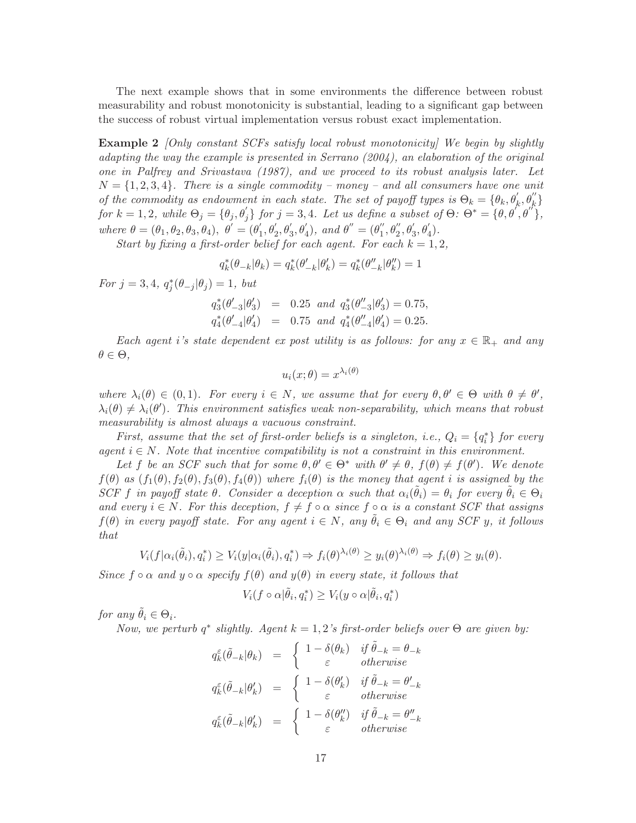The next example shows that in some environments the difference between robust measurability and robust monotonicity is substantial, leading to a significant gap between the success of robust virtual implementation versus robust exact implementation.

**Example 2** *[Only constant SCFs satisfy local robust monotonicity] We begin by slightly adapting the way the example is presented in Serrano (2004), an elaboration of the original one in Palfrey and Srivastava (1987), and we proceed to its robust analysis later. Let*  $N = \{1, 2, 3, 4\}$ . There is a single commodity – money – and all consumers have one unit *of the commodity as endowment in each state. The set of payoff types is*  $\Theta_k = {\theta_k, \theta'_k, \theta''_k}$  $for k = 1, 2, while \Theta_j = {\theta_j, \theta'_j} \ for \ j = 3, 4.$  Let us define a subset of  $\Theta: \Theta^* = {\theta, \theta', \theta''} \},$ *where*  $\theta = (\theta_1, \theta_2, \theta_3, \theta_4), \ \theta' = (\theta'_1, \theta'_2, \theta'_3, \theta'_4), \text{ and } \theta'' = (\theta''_1, \theta''_2, \theta'_3, \theta'_4).$ 

*Start by fixing a first-order belief for each agent. For each*  $k = 1, 2$ ,

$$
q_k^*(\theta_{-k}|\theta_k) = q_k^*(\theta'_{-k}|\theta'_k) = q_k^*(\theta''_{-k}|\theta''_k) = 1
$$

*For*  $j = 3, 4$ *,*  $q_j^*(\theta_{-j}|\theta_j) = 1$ *, but* 

$$
q_3^*(\theta'_{-3}|\theta'_3) = 0.25
$$
 and  $q_3^*(\theta''_{-3}|\theta'_3) = 0.75$ ,  
\n $q_4^*(\theta'_{-4}|\theta'_4) = 0.75$  and  $q_4^*(\theta''_{-4}|\theta'_4) = 0.25$ .

*Each agent i's state dependent ex post utility is as follows: for any*  $x \in \mathbb{R}_+$  *and any*  $\theta \in \Theta$ ,

$$
u_i(x; \theta) = x^{\lambda_i(\theta)}
$$

*where*  $\lambda_i(\theta) \in (0,1)$ *. For every*  $i \in N$ *, we assume that for every*  $\theta, \theta' \in \Theta$  *with*  $\theta \neq \theta'$ *,*  $\lambda_i(\theta) \neq \lambda_i(\theta')$ . This environment satisfies weak non-separability, which means that robust *measurability is almost always a vacuous constraint.*

*First, assume that the set of first-order beliefs is a singleton, i.e.,*  $Q_i = \{q_i^*\}$  *for every*  $a$ *qent*  $i \in N$ *. Note that incentive compatibility is not a constraint in this environment.* 

Let f be an SCF such that for some  $\theta, \theta' \in \Theta^*$  with  $\theta' \neq \theta$ ,  $f(\theta) \neq f(\theta')$ . We denote  $f(\theta)$  *as*  $(f_1(\theta), f_2(\theta), f_3(\theta), f_4(\theta))$  *where*  $f_i(\theta)$  *is the money that agent i is assigned by the SCF* f in payoff state  $\theta$ . Consider a deception  $\alpha$  such that  $\alpha_i(\tilde{\theta}_i) = \theta_i$  for every  $\tilde{\theta}_i \in \Theta_i$ *and every*  $i \in N$ *. For this deception,*  $f \neq f \circ \alpha$  *since*  $f \circ \alpha$  *is a constant SCF that assigns*  $f(\theta)$  *in every payoff state. For any agent*  $i \in N$ , any  $\tilde{\theta}_i \in \Theta_i$  and any SCF y, it follows *that*

$$
V_i(f|\alpha_i(\tilde{\theta}_i), q_i^*) \ge V_i(y|\alpha_i(\tilde{\theta}_i), q_i^*) \Rightarrow f_i(\theta)^{\lambda_i(\theta)} \ge y_i(\theta)^{\lambda_i(\theta)} \Rightarrow f_i(\theta) \ge y_i(\theta).
$$

*Since*  $f \circ \alpha$  *and*  $y \circ \alpha$  *specify*  $f(\theta)$  *and*  $y(\theta)$  *in every state, it follows that* 

$$
V_i(f \circ \alpha | \tilde{\theta}_i, q_i^*) \ge V_i(y \circ \alpha | \tilde{\theta}_i, q_i^*)
$$

*for any*  $\tilde{\theta}_i \in \Theta_i$ .

*Now, we perturb*  $q^*$  *slightly. Agent*  $k = 1, 2$ *'s first-order beliefs over*  $\Theta$  *are given by:* 

$$
\begin{array}{rcl} q^\varepsilon_k(\tilde{\theta}_{-k}|\theta_k)&=&\left\{\begin{array}{cc} 1-\delta(\theta_k)&if\,\,\tilde{\theta}_{-k}=\theta_{-k}\\ \varepsilon&otherwise \end{array}\right.\\[2mm] q^\varepsilon_k(\tilde{\theta}_{-k}|\theta'_k)&=&\left\{\begin{array}{cc} 1-\delta(\theta'_k)&if\,\,\tilde{\theta}_{-k}=\theta'_{-k}\\ \varepsilon&otherwise \end{array}\right.\\[2mm] q^\varepsilon_k(\tilde{\theta}_{-k}|\theta'_k)&=&\left\{\begin{array}{cc} 1-\delta(\theta''_k)&if\,\,\tilde{\theta}_{-k}=\theta''_{-k}\\ \varepsilon&otherwise \end{array}\right.\\[2mm] \end{array}
$$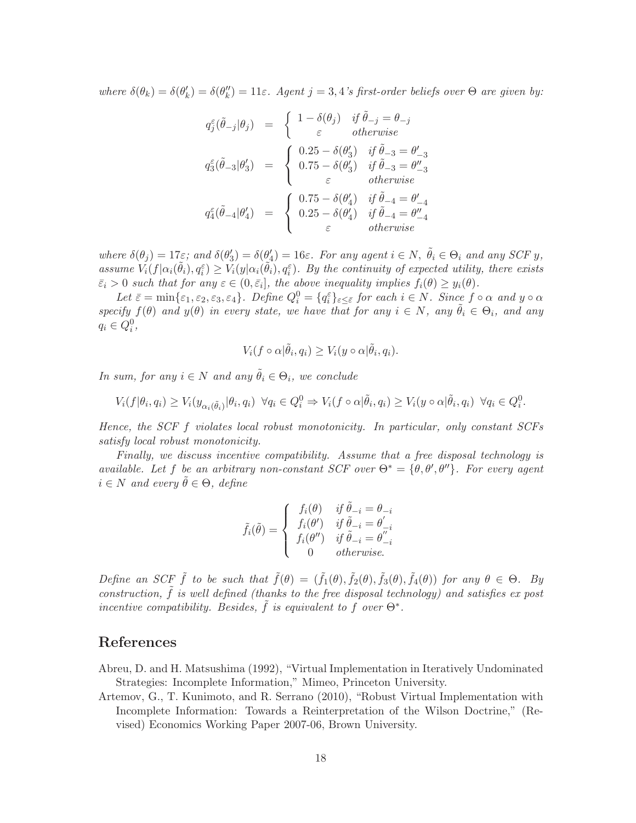where  $\delta(\theta_k) = \delta(\theta'_k) = \delta(\theta''_k) = 11\varepsilon$ . Agent  $j = 3, 4$ 's first-order beliefs over  $\Theta$  are given by:

$$
\begin{array}{rcl} q^{\varepsilon}_{j}(\tilde{\theta}_{-j}|\theta_{j}) & = & \left\{ \begin{array}{cc} 1-\delta(\theta_{j}) & \textit{if $\tilde{\theta}_{-j}=\theta_{-j}$} \\ \varepsilon & \textit{otherwise} \end{array} \right. \\ q^{\varepsilon}_{3}(\tilde{\theta}_{-3}|\theta'_{3}) & = & \left\{ \begin{array}{cc} 0.25-\delta(\theta'_{3}) & \textit{if $\tilde{\theta}_{-3}=\theta'_{-3}$} \\ 0.75-\delta(\theta'_{3}) & \textit{if $\tilde{\theta}_{-3}=\theta''_{-3}$} \\ \varepsilon & \textit{otherwise} \end{array} \right. \\ q^{\varepsilon}_{4}(\tilde{\theta}_{-4}|\theta'_{4}) & = & \left\{ \begin{array}{cc} 0.75-\delta(\theta'_{4}) & \textit{if $\tilde{\theta}_{-4}=\theta'_{-4}$} \\ 0.25-\delta(\theta'_{4}) & \textit{if $\tilde{\theta}_{-4}=\theta''_{-4}$} \\ \varepsilon & \textit{otherwise} \end{array} \right. \end{array}
$$

*where*  $\delta(\theta_j) = 17\varepsilon$ ; and  $\delta(\theta'_3) = \delta(\theta'_4) = 16\varepsilon$ . For any agent  $i \in N$ ,  $\tilde{\theta}_i \in \Theta_i$  and any SCF y, assume  $V_i(f|\alpha_i(\tilde{\theta}_i), q_i^{\varepsilon}) \geq V_i(y|\alpha_i(\tilde{\theta}_i), q_i^{\varepsilon})$ . By the continuity of expected utility, there exists  $\overline{\varepsilon}_i > 0$  such that for any  $\varepsilon \in (0, \overline{\varepsilon}_i]$ , the above inequality implies  $f_i(\theta) \geq y_i(\theta)$ .

Let  $\bar{\varepsilon} = \min\{\varepsilon_1, \varepsilon_2, \varepsilon_3, \varepsilon_4\}$ . Define  $Q_i^0 = \{q_i^{\varepsilon}\}_{\varepsilon \leq \bar{\varepsilon}}$  for each  $i \in N$ . Since  $f \circ \alpha$  and  $y \circ \alpha$ *specify*  $f(\theta)$  *and*  $y(\theta)$  *in every state, we have that for any*  $i \in N$ *, any*  $\tilde{\theta}_i \in \Theta_i$ *, and any*  $q_i \in Q_i^0$ ,

$$
V_i(f \circ \alpha | \tilde{\theta}_i, q_i) \ge V_i(y \circ \alpha | \tilde{\theta}_i, q_i).
$$

*In sum, for any*  $i \in N$  *and any*  $\tilde{\theta}_i \in \Theta_i$ *, we conclude* 

$$
V_i(f|\theta_i, q_i) \ge V_i(y_{\alpha_i(\tilde{\theta}_i)}|\theta_i, q_i) \ \ \forall q_i \in Q_i^0 \Rightarrow V_i(f \circ \alpha | \tilde{\theta}_i, q_i) \ge V_i(y \circ \alpha | \tilde{\theta}_i, q_i) \ \ \forall q_i \in Q_i^0.
$$

*Hence, the SCF* f *violates local robust monotonicity. In particular, only constant SCFs satisfy local robust monotonicity.*

*Finally, we discuss incentive compatibility. Assume that a free disposal technology is available. Let* f *be an arbitrary non-constant SCF over*  $\Theta^* = {\theta, \theta', \theta''}$ . For every agent  $i \in N$  *and every*  $\hat{\theta} \in \Theta$ *, define* 

$$
\tilde{f}_i(\tilde{\theta}) = \begin{cases}\n f_i(\theta) & if \ \tilde{\theta}_{-i} = \theta_{-i} \\
f_i(\theta') & if \ \tilde{\theta}_{-i} = \theta'_{-i} \\
f_i(\theta'') & if \ \tilde{\theta}_{-i} = \theta''_{-i} \\
0 & otherwise.\n\end{cases}
$$

*Define an SCF*  $\tilde{f}$  *to be such that*  $\tilde{f}(\theta)=(\tilde{f}_1(\theta), \tilde{f}_2(\theta), \tilde{f}_3(\theta), \tilde{f}_4(\theta))$  *for any*  $\theta \in \Theta$ *. By construction,* f *is well defined (thanks to the free disposal technology) and satisfies ex post incentive compatibility. Besides,*  $\hat{f}$  *is equivalent to*  $\hat{f}$  *over*  $\Theta^*$ *.* 

# **References**

- Abreu, D. and H. Matsushima (1992), "Virtual Implementation in Iteratively Undominated Strategies: Incomplete Information," Mimeo, Princeton University.
- Artemov, G., T. Kunimoto, and R. Serrano (2010), "Robust Virtual Implementation with Incomplete Information: Towards a Reinterpretation of the Wilson Doctrine," (Revised) Economics Working Paper 2007-06, Brown University.